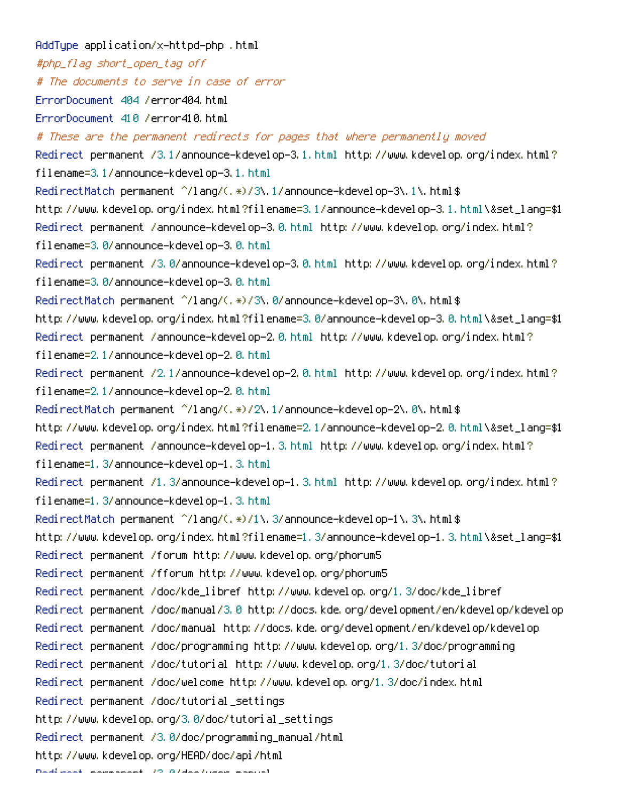AddType application/x-httpd-php .html #php\_flag short\_open\_tag off # The documents to serve in case of error ErrorDocument 404 /error404.html ErrorDocument 410 /error410.html # These are the permanent redirects for pages that where permanently moved Redirect permanent /3.1/announce-kdevelop-3.1.html http://www.kdevelop.org/index.html? filename=3.1/announce-kdevelop-3.1.html RedirectMatch permanent ^/lang/(.\*)/3\.1/announce-kdevelop-3\.1\.html\$ http://www.kdevelop.org/index.html?filename=3.1/announce-kdevelop-3.1.html\&set\_lang=\$1 Redirect permanent /announce-kdevelop-3.0.html http://www.kdevelop.org/index.html? filename=3.0/announce-kdevelop-3.0.html Redirect permanent /3.0/announce-kdevelop-3.0.html http://www.kdevelop.org/index.html? filename=3.0/announce-kdevelop-3.0.html RedirectMatch permanent ^/lang/(.\*)/3\.0/announce-kdevelop-3\.0\.html\$ http://www.kdevelop.org/index.html?filename=3.0/announce-kdevelop-3.0.html\&set\_lang=\$1 Redirect permanent /announce-kdevelop-2.0.html http://www.kdevelop.org/index.html? filename=2.1/announce-kdevelop-2.0.html Redirect permanent /2.1/announce-kdevelop-2.0.html http://www.kdevelop.org/index.html? filename=2.1/announce-kdevelop-2.0.html RedirectMatch permanent ^/lang/(.\*)/2\.1/announce-kdevelop-2\.0\.html\$ http://www.kdevelop.org/index.html?filename=2.1/announce-kdevelop-2.0.html\&set\_lang=\$1 Redirect permanent /announce-kdevelop-1.3.html http://www.kdevelop.org/index.html? filename=1.3/announce-kdevelop-1.3.html Redirect permanent /1.3/announce-kdevelop-1.3.html http://www.kdevelop.org/index.html? filename=1.3/announce-kdevelop-1.3.html RedirectMatch permanent ^/lang/(.\*)/1\.3/announce-kdevelop-1\.3\.html\$ http://www.kdevelop.org/index.html?filename=1.3/announce-kdevelop-1.3.html\&set\_lang=\$1 Redirect permanent /forum http://www.kdevelop.org/phorum5 Redirect permanent /fforum http://www.kdevelop.org/phorum5 Redirect permanent /doc/kde\_libref http://www.kdevelop.org/1.3/doc/kde\_libref Redirect permanent /doc/manual/3.0 http://docs.kde.org/development/en/kdevelop/kdevelop Redirect permanent /doc/manual http://docs.kde.org/development/en/kdevelop/kdevelop Redirect permanent /doc/programming http://www.kdevelop.org/1.3/doc/programming Redirect permanent /doc/tutorial http://www.kdevelop.org/1.3/doc/tutorial Redirect permanent /doc/welcome http://www.kdevelop.org/1.3/doc/index.html Redirect permanent /doc/tutorial\_settings http://www.kdevelop.org/3.0/doc/tutorial\_settings Redirect permanent /3.0/doc/programming\_manual/html http://www.kdevelop.org/HEAD/doc/api/html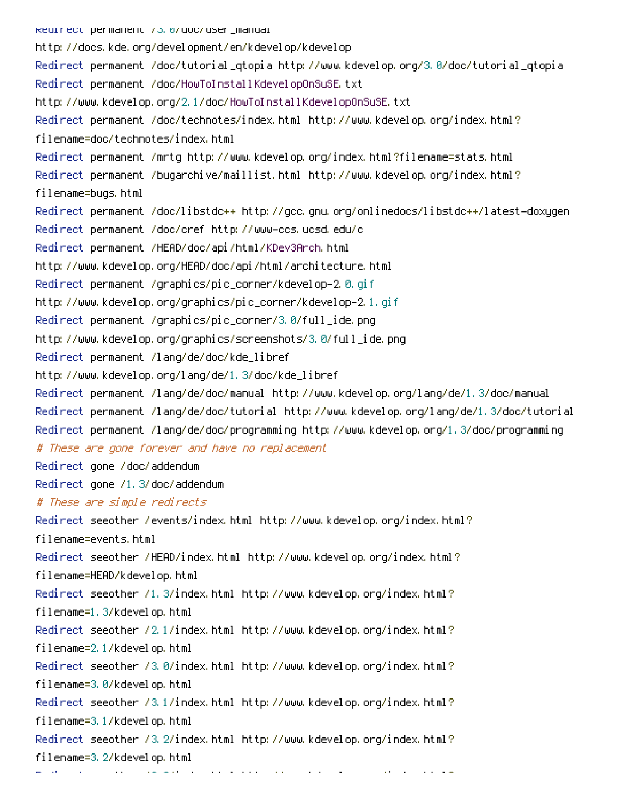Redirect permanent /3.0/doc/user\_manual http://docs.kde.org/development/en/kdevelop/kdevelop Redirect permanent /doc/tutorial\_qtopia http://www.kdevelop.org/3.0/doc/tutorial\_qtopia Redirect permanent /doc/HowToInstallKdevelopOnSuSE.txt http://www.kdevelop.org/2.1/doc/HowToInstallKdevelopOnSuSE.txt Redirect permanent /doc/technotes/index.html http://www.kdevelop.org/index.html? filename=doc/technotes/index.html Redirect permanent /mrtg http://www.kdevelop.org/index.html?filename=stats.html Redirect permanent /bugarchive/maillist.html http://www.kdevelop.org/index.html? filename=bugs.html Redirect permanent /doc/libstdc++ http://gcc.gnu.org/onlinedocs/libstdc++/latest-doxygen Redirect permanent /doc/cref http://www-ccs.ucsd.edu/c Redirect permanent /HEAD/doc/api/html/KDev3Arch.html http://www.kdevelop.org/HEAD/doc/api/html/architecture.html Redirect permanent /graphics/pic\_corner/kdevelop-2.0.gif http://www.kdevelop.org/graphics/pic\_corner/kdevelop-2.1.gif Redirect permanent /graphics/pic\_corner/3.0/full\_ide.png http://www.kdevelop.org/graphics/screenshots/3.0/full\_ide.png Redirect permanent /lang/de/doc/kde\_libref http://www.kdevelop.org/lang/de/1.3/doc/kde\_libref Redirect permanent /lang/de/doc/manual http://www.kdevelop.org/lang/de/1.3/doc/manual Redirect permanent /lang/de/doc/tutorial http://www.kdevelop.org/lang/de/1.3/doc/tutorial Redirect permanent /lang/de/doc/programming http://www.kdevelop.org/1.3/doc/programming # These are gone forever and have no replacement Redirect gone /doc/addendum Redirect gone /1.3/doc/addendum # These are simple redirects Redirect seeother /events/index.html http://www.kdevelop.org/index.html? filename=events.html Redirect seeother /HEAD/index.html http://www.kdevelop.org/index.html? filename=HEAD/kdevelop.html Redirect seeother /1.3/index.html http://www.kdevelop.org/index.html? filename=1.3/kdevelop.html Redirect seeother /2.1/index.html http://www.kdevelop.org/index.html? filename=2.1/kdevelop.html Redirect seeother /3.0/index.html http://www.kdevelop.org/index.html? filename=3.0/kdevelop.html Redirect seeother /3.1/index.html http://www.kdevelop.org/index.html? filename=3.1/kdevelop.html Redirect seeother /3.2/index.html http://www.kdevelop.org/index.html? filename=3.2/kdevelop.html

Redirect seeother /3.3/index.html http://www.kdevelop.org/index.html?